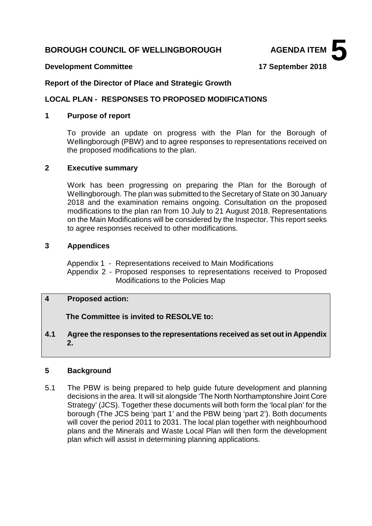# **BOROUGH COUNCIL OF WELLINGBOROUGH AGENDA ITEM**



#### **Development Committee 17 September 2018**

#### **Report of the Director of Place and Strategic Growth**

# **LOCAL PLAN - RESPONSES TO PROPOSED MODIFICATIONS**

#### **1 Purpose of report**

To provide an update on progress with the Plan for the Borough of Wellingborough (PBW) and to agree responses to representations received on the proposed modifications to the plan.

#### **2 Executive summary**

Work has been progressing on preparing the Plan for the Borough of Wellingborough. The plan was submitted to the Secretary of State on 30 January 2018 and the examination remains ongoing. Consultation on the proposed modifications to the plan ran from 10 July to 21 August 2018. Representations on the Main Modifications will be considered by the Inspector. This report seeks to agree responses received to other modifications.

#### **3 Appendices**

Appendix 1 - Representations received to Main Modifications

Appendix 2 - Proposed responses to representations received to Proposed Modifications to the Policies Map

# **4 Proposed action:**

 **The Committee is invited to RESOLVE to:**

# **4.1 Agree the responses to the representations received as set out in Appendix 2.**

# **5 Background**

5.1 The PBW is being prepared to help guide future development and planning decisions in the area. It will sit alongside 'The North Northamptonshire Joint Core Strategy' (JCS). Together these documents will both form the 'local plan' for the borough (The JCS being 'part 1' and the PBW being 'part 2'). Both documents will cover the period 2011 to 2031. The local plan together with neighbourhood plans and the Minerals and Waste Local Plan will then form the development plan which will assist in determining planning applications.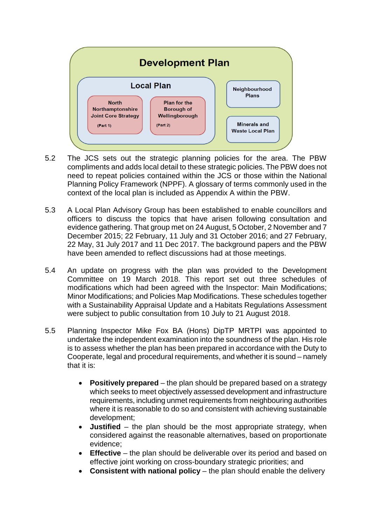

- $5.2$ The JCS sets out the strategic planning policies for the area. The PBW compliments and adds local detail to these strategic policies. The PBW does not need to repeat policies contained within the JCS or those within the National Planning Policy Framework (NPPF). A glossary of terms commonly used in the context of the local plan is included as Appendix A within the PBW.
- 5.3 A Local Plan Advisory Group has been established to enable councillors and officers to discuss the topics that have arisen following consultation and evidence gathering. That group met on 24 August, 5 October, 2 November and 7 December 2015; 22 February, 11 July and 31 October 2016; and 27 February, 22 May, 31 July 2017 and 11 Dec 2017. The background papers and the PBW have been amended to reflect discussions had at those meetings.
- 5.4 An update on progress with the plan was provided to the Development Committee on 19 March 2018. This report set out three schedules of modifications which had been agreed with the Inspector: Main Modifications; Minor Modifications; and Policies Map Modifications. These schedules together with a Sustainability Appraisal Update and a Habitats Regulations Assessment were subject to public consultation from 10 July to 21 August 2018.
- 5.5 Planning Inspector Mike Fox BA (Hons) DipTP MRTPI was appointed to undertake the independent examination into the soundness of the plan. His role is to assess whether the plan has been prepared in accordance with the Duty to Cooperate, legal and procedural requirements, and whether it is sound – namely that it is:
	- **Positively prepared** the plan should be prepared based on a strategy which seeks to meet objectively assessed development and infrastructure requirements, including unmet requirements from neighbouring authorities where it is reasonable to do so and consistent with achieving sustainable development;
	- **Justified** the plan should be the most appropriate strategy, when considered against the reasonable alternatives, based on proportionate evidence;
	- **Effective** the plan should be deliverable over its period and based on effective joint working on cross-boundary strategic priorities; and
	- **Consistent with national policy** the plan should enable the delivery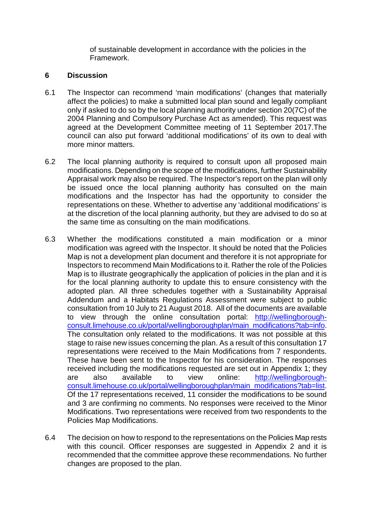of sustainable development in accordance with the policies in the Framework.

#### **6 Discussion**

- 6.1 The Inspector can recommend 'main modifications' (changes that materially affect the policies) to make a submitted local plan sound and legally compliant only if asked to do so by the local planning authority under section 20(7C) of the 2004 Planning and Compulsory Purchase Act as amended). This request was agreed at the Development Committee meeting of 11 September 2017.The council can also put forward 'additional modifications' of its own to deal with more minor matters.
- 6.2 The local planning authority is required to consult upon all proposed main modifications. Depending on the scope of the modifications, further Sustainability Appraisal work may also be required. The Inspector's report on the plan will only be issued once the local planning authority has consulted on the main modifications and the Inspector has had the opportunity to consider the representations on these. Whether to advertise any 'additional modifications' is at the discretion of the local planning authority, but they are advised to do so at the same time as consulting on the main modifications.
- 6.3 Whether the modifications constituted a main modification or a minor modification was agreed with the Inspector. It should be noted that the Policies Map is not a development plan document and therefore it is not appropriate for Inspectors to recommend Main Modifications to it. Rather the role of the Policies Map is to illustrate geographically the application of policies in the plan and it is for the local planning authority to update this to ensure consistency with the adopted plan. All three schedules together with a Sustainability Appraisal Addendum and a Habitats Regulations Assessment were subject to public consultation from 10 July to 21 August 2018. All of the documents are available to view through the online consultation portal: [http://wellingborough](http://wellingborough-consult.limehouse.co.uk/portal/wellingboroughplan/main_modifications?tab=info)[consult.limehouse.co.uk/portal/wellingboroughplan/main\\_modifications?tab=info.](http://wellingborough-consult.limehouse.co.uk/portal/wellingboroughplan/main_modifications?tab=info) The consultation only related to the modifications. It was not possible at this stage to raise new issues concerning the plan. As a result of this consultation 17 representations were received to the Main Modifications from 7 respondents. These have been sent to the Inspector for his consideration. The responses received including the modifications requested are set out in Appendix 1; they are also available to view online: [http://wellingborough](http://wellingborough-consult.limehouse.co.uk/portal/wellingboroughplan/main_modifications?tab=list)[consult.limehouse.co.uk/portal/wellingboroughplan/main\\_modifications?tab=list.](http://wellingborough-consult.limehouse.co.uk/portal/wellingboroughplan/main_modifications?tab=list) Of the 17 representations received, 11 consider the modifications to be sound and 3 are confirming no comments. No responses were received to the Minor Modifications. Two representations were received from two respondents to the Policies Map Modifications.
- 6.4 The decision on how to respond to the representations on the Policies Map rests with this council. Officer responses are suggested in Appendix 2 and it is recommended that the committee approve these recommendations. No further changes are proposed to the plan.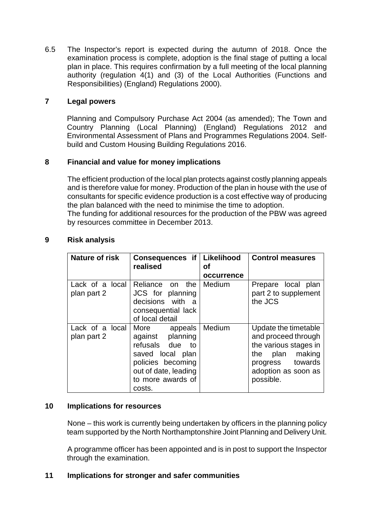6.5 The Inspector's report is expected during the autumn of 2018. Once the examination process is complete, adoption is the final stage of putting a local plan in place. This requires confirmation by a full meeting of the local planning authority (regulation 4(1) and (3) of the Local Authorities (Functions and Responsibilities) (England) Regulations 2000).

# **7 Legal powers**

Planning and Compulsory Purchase Act 2004 (as amended); The Town and Country Planning (Local Planning) (England) Regulations 2012 and Environmental Assessment of Plans and Programmes Regulations 2004. Selfbuild and Custom Housing Building Regulations 2016.

# **8 Financial and value for money implications**

The efficient production of the local plan protects against costly planning appeals and is therefore value for money. Production of the plan in house with the use of consultants for specific evidence production is a cost effective way of producing the plan balanced with the need to minimise the time to adoption. The funding for additional resources for the production of the PBW was agreed

by resources committee in December 2013.

| <b>Nature of risk</b>          | Consequences if                                                                                                                                        | Likelihood       | <b>Control measures</b>                                                                                                                               |
|--------------------------------|--------------------------------------------------------------------------------------------------------------------------------------------------------|------------------|-------------------------------------------------------------------------------------------------------------------------------------------------------|
|                                | realised                                                                                                                                               | Οf<br>occurrence |                                                                                                                                                       |
| Lack of a local<br>plan part 2 | Reliance on the<br>JCS for planning<br>decisions with<br>- a<br>consequential lack<br>of local detail                                                  | Medium           | Prepare local plan<br>part 2 to supplement<br>the JCS                                                                                                 |
| Lack of a local<br>plan part 2 | More appeals<br>against planning<br>refusals due<br>to<br>saved local plan<br>policies becoming<br>out of date, leading<br>to more awards of<br>costs. | Medium           | Update the timetable<br>and proceed through<br>the various stages in<br>making<br>plan<br>the<br>progress towards<br>adoption as soon as<br>possible. |

# **9 Risk analysis**

# **10 Implications for resources**

None – this work is currently being undertaken by officers in the planning policy team supported by the North Northamptonshire Joint Planning and Delivery Unit.

A programme officer has been appointed and is in post to support the Inspector through the examination.

# **11 Implications for stronger and safer communities**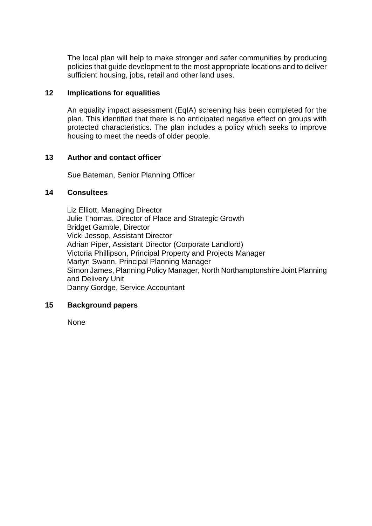The local plan will help to make stronger and safer communities by producing policies that guide development to the most appropriate locations and to deliver sufficient housing, jobs, retail and other land uses.

#### **12 Implications for equalities**

An equality impact assessment (EqIA) screening has been completed for the plan. This identified that there is no anticipated negative effect on groups with protected characteristics. The plan includes a policy which seeks to improve housing to meet the needs of older people.

# **13 Author and contact officer**

Sue Bateman, Senior Planning Officer

#### **14 Consultees**

Liz Elliott, Managing Director Julie Thomas, Director of Place and Strategic Growth Bridget Gamble, Director Vicki Jessop, Assistant Director Adrian Piper, Assistant Director (Corporate Landlord) Victoria Phillipson, Principal Property and Projects Manager Martyn Swann, Principal Planning Manager Simon James, Planning Policy Manager, North Northamptonshire Joint Planning and Delivery Unit Danny Gordge, Service Accountant

# **15 Background papers**

None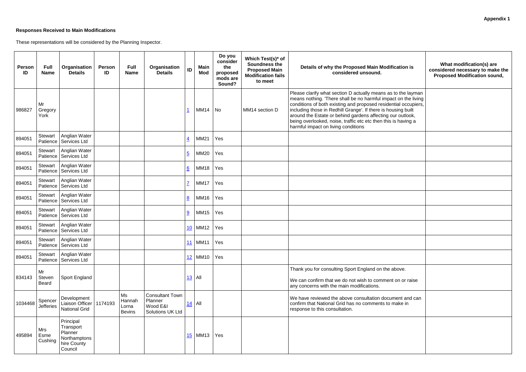# **Responses Received to Main Modifications**

These representations will be considered by the Planning Inspector.

| ation is                                                                         | What modification(s) are<br>considered necessary to make the<br><b>Proposed Modification sound,</b> |
|----------------------------------------------------------------------------------|-----------------------------------------------------------------------------------------------------|
| the layman<br>on the living<br>al occupiers,<br>ng built<br>outlook,<br>having a |                                                                                                     |
|                                                                                  |                                                                                                     |
|                                                                                  |                                                                                                     |
|                                                                                  |                                                                                                     |
|                                                                                  |                                                                                                     |
|                                                                                  |                                                                                                     |
|                                                                                  |                                                                                                     |
|                                                                                  |                                                                                                     |
|                                                                                  |                                                                                                     |
|                                                                                  |                                                                                                     |
| жe.                                                                              |                                                                                                     |
| n or raise                                                                       |                                                                                                     |
| nt and can<br>ke in                                                              |                                                                                                     |
|                                                                                  |                                                                                                     |
|                                                                                  |                                                                                                     |
|                                                                                  |                                                                                                     |

| <b>Person</b><br>ID | <b>Full</b><br><b>Name</b>   | Organisation<br><b>Details</b>                                              | <b>Person</b><br>ID | <b>Full</b><br><b>Name</b>             | Organisation<br><b>Details</b>                                           | ID                      | <b>Main</b><br><b>Mod</b> | Do you<br>consider<br>the<br>proposed<br>mods are<br>Sound? | Which Test(s)* of<br><b>Soundness the</b><br><b>Proposed Main</b><br><b>Modification fails</b><br>to meet | Details of why the Proposed Main Modification is<br>considered unsound.                                                                                                                                                                                                                                                                                                                                                                    |
|---------------------|------------------------------|-----------------------------------------------------------------------------|---------------------|----------------------------------------|--------------------------------------------------------------------------|-------------------------|---------------------------|-------------------------------------------------------------|-----------------------------------------------------------------------------------------------------------|--------------------------------------------------------------------------------------------------------------------------------------------------------------------------------------------------------------------------------------------------------------------------------------------------------------------------------------------------------------------------------------------------------------------------------------------|
| 986827              | Mr<br>Gregory<br>York        |                                                                             |                     |                                        |                                                                          | $\overline{\mathbf{1}}$ | <b>MM14</b>               | <b>No</b>                                                   | MM14 section D                                                                                            | Please clarify what section D actually means as to the layman<br>means nothing. 'There shall be no harmful impact on the living<br>conditions of both existing and proposed residential occupiers,<br>including those in Redhill Grange'. If there is housing built<br>around the Estate or behind gardens affecting our outlook,<br>being overlooked, noise, traffic etc etc then this is having a<br>harmful impact on living conditions |
| 894051              | Stewart<br>Patience          | Anglian Water<br>Services Ltd                                               |                     |                                        |                                                                          | $\overline{4}$          | MM21                      | Yes                                                         |                                                                                                           |                                                                                                                                                                                                                                                                                                                                                                                                                                            |
| 894051              | <b>Stewart</b><br>Patience   | Anglian Water<br>Services Ltd                                               |                     |                                        |                                                                          | $\overline{5}$          | <b>MM20</b>               | Yes                                                         |                                                                                                           |                                                                                                                                                                                                                                                                                                                                                                                                                                            |
| 894051              | Stewart<br>Patience          | Anglian Water<br>Services Ltd                                               |                     |                                        |                                                                          | $6 \overline{6}$        | <b>MM18</b>               | Yes                                                         |                                                                                                           |                                                                                                                                                                                                                                                                                                                                                                                                                                            |
| 894051              | <b>Stewart</b><br>Patience   | Anglian Water<br><b>Services Ltd</b>                                        |                     |                                        |                                                                          | $\overline{1}$          | <b>MM17</b>               | Yes                                                         |                                                                                                           |                                                                                                                                                                                                                                                                                                                                                                                                                                            |
| 894051              | <b>Stewart</b><br>Patience   | Anglian Water<br>Services Ltd                                               |                     |                                        |                                                                          | 8                       | <b>MM16</b>               | Yes                                                         |                                                                                                           |                                                                                                                                                                                                                                                                                                                                                                                                                                            |
| 894051              | Stewart<br>Patience          | Anglian Water<br>Services Ltd                                               |                     |                                        |                                                                          | 9                       | <b>MM15</b>               | Yes                                                         |                                                                                                           |                                                                                                                                                                                                                                                                                                                                                                                                                                            |
| 894051              | Stewart<br>Patience          | Anglian Water<br>Services Ltd                                               |                     |                                        |                                                                          |                         | 10 MM12                   | Yes                                                         |                                                                                                           |                                                                                                                                                                                                                                                                                                                                                                                                                                            |
| 894051              | Stewart<br>Patience          | Anglian Water<br>Services Ltd                                               |                     |                                        |                                                                          | 11                      | <b>MM11</b>               | Yes                                                         |                                                                                                           |                                                                                                                                                                                                                                                                                                                                                                                                                                            |
| 894051              | <b>Stewart</b><br>Patience   | Anglian Water<br>Services Ltd                                               |                     |                                        |                                                                          |                         | 12 MM10                   | Yes                                                         |                                                                                                           |                                                                                                                                                                                                                                                                                                                                                                                                                                            |
| 834143              | Mr<br>Steven<br><b>Beard</b> | Sport England                                                               |                     |                                        |                                                                          |                         | $13$   All                |                                                             |                                                                                                           | Thank you for consulting Sport England on the above.<br>We can confirm that we do not wish to comment on or raise<br>any concerns with the main modifications.                                                                                                                                                                                                                                                                             |
| 1034468             | Spencer<br><b>Jefferies</b>  | Development<br>Liaison Officer   1174193<br><b>National Grid</b>            |                     | Ms<br>Hannah<br>Lorna<br><b>Bevins</b> | <b>Consultant Town</b><br>Planner<br>Wood E&I<br><b>Solutions UK Ltd</b> | <u>14</u>               | All                       |                                                             |                                                                                                           | We have reviewed the above consultation document and can<br>confirm that National Grid has no comments to make in<br>response to this consultation.                                                                                                                                                                                                                                                                                        |
| 495894              | Mrs<br>Esme<br>Cushing       | Principal<br>Transport<br>Planner<br>Northamptons<br>hire County<br>Council |                     |                                        |                                                                          |                         | $15$ MM13                 | Yes                                                         |                                                                                                           |                                                                                                                                                                                                                                                                                                                                                                                                                                            |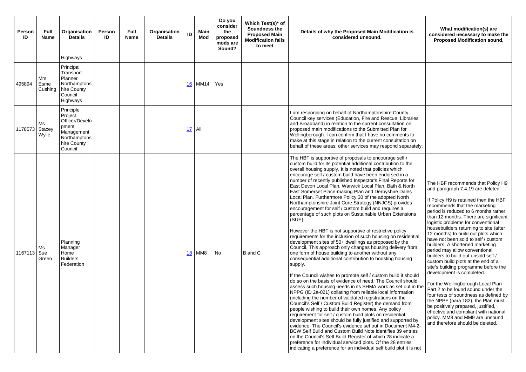| <b>Person</b><br>ID | <b>Full</b><br><b>Name</b> | Organisation<br><b>Details</b>                                                                          | Person<br>ID | <b>Full</b><br><b>Name</b> | Organisation<br><b>Details</b> | ID | Main<br><b>Mod</b> | Do you<br>consider<br>the<br>proposed<br>mods are<br>Sound? | Which Test(s)* of<br>Soundness the<br><b>Proposed Main</b><br><b>Modification fails</b><br>to meet | Details of why the Proposed Main Modification is<br>considered unsound.                                                                                                                                                                                                                                                                                                                                                                                                                                                                                                                                                                                                                                                                                                                                                                                                                                                                                                                                                                                                                                                                                                                                                                                                                                                                                                                                                                                                                                                                                                                                                                                                                                                                                                                                                                                                                                                                                                 |
|---------------------|----------------------------|---------------------------------------------------------------------------------------------------------|--------------|----------------------------|--------------------------------|----|--------------------|-------------------------------------------------------------|----------------------------------------------------------------------------------------------------|-------------------------------------------------------------------------------------------------------------------------------------------------------------------------------------------------------------------------------------------------------------------------------------------------------------------------------------------------------------------------------------------------------------------------------------------------------------------------------------------------------------------------------------------------------------------------------------------------------------------------------------------------------------------------------------------------------------------------------------------------------------------------------------------------------------------------------------------------------------------------------------------------------------------------------------------------------------------------------------------------------------------------------------------------------------------------------------------------------------------------------------------------------------------------------------------------------------------------------------------------------------------------------------------------------------------------------------------------------------------------------------------------------------------------------------------------------------------------------------------------------------------------------------------------------------------------------------------------------------------------------------------------------------------------------------------------------------------------------------------------------------------------------------------------------------------------------------------------------------------------------------------------------------------------------------------------------------------------|
|                     |                            | Highways                                                                                                |              |                            |                                |    |                    |                                                             |                                                                                                    |                                                                                                                                                                                                                                                                                                                                                                                                                                                                                                                                                                                                                                                                                                                                                                                                                                                                                                                                                                                                                                                                                                                                                                                                                                                                                                                                                                                                                                                                                                                                                                                                                                                                                                                                                                                                                                                                                                                                                                         |
| 495894              | Mrs<br>Esme<br>Cushing     | Principal<br>Transport<br>Planner<br>Northamptons<br>hire County<br>Council<br>Highways                 |              |                            |                                |    | 16 MM14            | Yes                                                         |                                                                                                    |                                                                                                                                                                                                                                                                                                                                                                                                                                                                                                                                                                                                                                                                                                                                                                                                                                                                                                                                                                                                                                                                                                                                                                                                                                                                                                                                                                                                                                                                                                                                                                                                                                                                                                                                                                                                                                                                                                                                                                         |
| 1178573             | Ms<br>Stacey<br>Wylie      | Principle<br>Project<br>Officer/Develo<br>pment<br>Management<br>Northamptons<br>hire County<br>Council |              |                            |                                | 17 | All                |                                                             |                                                                                                    | I am responding on behalf of Northamptonshire County<br>Council key services (Education, Fire and Rescue, Libraries<br>and Broadband) in relation to the current consultation on<br>proposed main modifications to the Submitted Plan for<br>Wellingborough. I can confirm that I have no comments to<br>make at this stage in relation to the current consultation on<br>behalf of these areas; other services may respond separately.                                                                                                                                                                                                                                                                                                                                                                                                                                                                                                                                                                                                                                                                                                                                                                                                                                                                                                                                                                                                                                                                                                                                                                                                                                                                                                                                                                                                                                                                                                                                 |
| 1167113             | Ms<br>Sue<br>Green         | Planning<br>Manager<br>Home<br><b>Builders</b><br>Federation                                            |              |                            |                                |    | <b>18 MM8</b>      | <b>No</b>                                                   | B and C                                                                                            | The HBF is supportive of proposals to encourage self /<br>custom build for its potential additional contribution to the<br>overall housing supply. It is noted that policies which<br>encourage self / custom build have been endorsed in a<br>number of recently published Inspector's Final Reports for<br>East Devon Local Plan, Warwick Local Plan, Bath & North<br>East Somerset Place-making Plan and Derbyshire Dales<br>Local Plan. Furthermore Policy 30 of the adopted North<br>Northamptonshire Joint Core Strategy (NNJCS) provides<br>encouragement for self / custom build and requires a<br>percentage of such plots on Sustainable Urban Extensions<br>$(SUE)$ .<br>However the HBF is not supportive of restrictive policy<br>requirements for the inclusion of such housing on residential<br>development sites of 50+ dwellings as proposed by the<br>Council. This approach only changes housing delivery from<br>one form of house building to another without any<br>consequential additional contribution to boosting housing<br>supply.<br>If the Council wishes to promote self / custom build it should<br>do so on the basis of evidence of need. The Council should<br>assess such housing needs in its SHMA work as set out in the<br>NPPG (ID 2a-021) collating from reliable local information<br>(including the number of validated registrations on the<br>Council's Self / Custom Build Register) the demand from<br>people wishing to build their own homes. Any policy<br>requirement for self / custom build plots on residential<br>development sites should be fully justified and supported by<br>evidence. The Council's evidence set out in Document M4-2-<br>BCW Self Build and Custom Build Note identifies 39 entries<br>on the Council's Self Build Register of which 28 indicate a<br>preference for individual serviced plots. Of the 28 entries<br>indicating a preference for an individual self build plot it is not |

| ation is                                                                                                                                                                                                                                                                                          | What modification(s) are<br>considered necessary to make the<br><b>Proposed Modification sound,</b>                                                                                                                                                                                                                                                                                                                                                                                                                                                                                                                                                                                                                                                                                                                                                                                                                                   |
|---------------------------------------------------------------------------------------------------------------------------------------------------------------------------------------------------------------------------------------------------------------------------------------------------|---------------------------------------------------------------------------------------------------------------------------------------------------------------------------------------------------------------------------------------------------------------------------------------------------------------------------------------------------------------------------------------------------------------------------------------------------------------------------------------------------------------------------------------------------------------------------------------------------------------------------------------------------------------------------------------------------------------------------------------------------------------------------------------------------------------------------------------------------------------------------------------------------------------------------------------|
|                                                                                                                                                                                                                                                                                                   |                                                                                                                                                                                                                                                                                                                                                                                                                                                                                                                                                                                                                                                                                                                                                                                                                                                                                                                                       |
| bunty<br>, Libraries<br>tion on<br>n for<br>nents to<br>tation on<br>separately.                                                                                                                                                                                                                  |                                                                                                                                                                                                                                                                                                                                                                                                                                                                                                                                                                                                                                                                                                                                                                                                                                                                                                                                       |
| self /<br>to the<br>ch<br>d in a<br>ports for<br>& North<br>Dales<br>North<br>ovides<br>s a<br>tensions<br>plicy<br>residential<br>y the<br>very from<br>ousing<br>d it should<br>cil should<br>et out in the<br>rmation<br>the<br>d from<br>;у<br>าtial<br>ported by<br>nent M4-2-<br>39 entries | The HBF recommends that Policy H9<br>and paragraph 7.4.19 are deleted.<br>If Policy H9 is retained then the HBF<br>recommends that the marketing<br>period is reduced to 6 months rather<br>than 12 months. There are significant<br>logistic problems for conventional<br>housebuilders returning to site (after<br>12 months) to build out plots which<br>have not been sold to self / custom<br>builders. A shortened marketing<br>period may allow conventional<br>builders to build out unsold self /<br>custom build plots at the end of a<br>site's building programme before the<br>development is completed.<br>For the Wellingborough Local Plan<br>Part 2 to be found sound under the<br>four tests of soundness as defined by<br>the NPPF (para 182), the Plan must<br>be positively prepared, justified,<br>effective and compliant with national<br>policy. MM8 and MM9 are unsound<br>and therefore should be deleted. |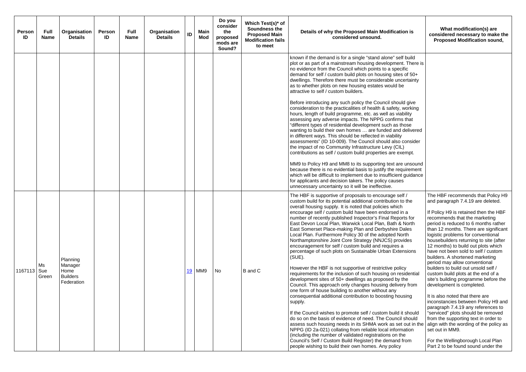| Person<br>ID  | <b>Full</b><br><b>Name</b> | Organisation<br><b>Details</b>                               | Person<br>ID | <b>Full</b><br><b>Name</b> | Organisation<br>ID<br><b>Details</b> |     | Main<br>Mod | Do you<br>consider<br>the<br>proposed<br>mods are<br>Sound? | Which Test(s)* of<br>Soundness the<br><b>Proposed Main</b><br><b>Modification fails</b><br>to meet | Details of why the Proposed Main Modification is<br>considered unsound.                                                                                                                                                                                                                                                                                                                                                                                                                                                                                                                                                                                                                                                                                                                                                                                                                                                                                                                                                                                                                                                           | What modification(s) are<br>considered necessary to make the<br><b>Proposed Modification sound,</b>                                                                                                                                                                                                                                                                                                                                                                                                                                                                                                                                                                                                                                                                         |
|---------------|----------------------------|--------------------------------------------------------------|--------------|----------------------------|--------------------------------------|-----|-------------|-------------------------------------------------------------|----------------------------------------------------------------------------------------------------|-----------------------------------------------------------------------------------------------------------------------------------------------------------------------------------------------------------------------------------------------------------------------------------------------------------------------------------------------------------------------------------------------------------------------------------------------------------------------------------------------------------------------------------------------------------------------------------------------------------------------------------------------------------------------------------------------------------------------------------------------------------------------------------------------------------------------------------------------------------------------------------------------------------------------------------------------------------------------------------------------------------------------------------------------------------------------------------------------------------------------------------|-----------------------------------------------------------------------------------------------------------------------------------------------------------------------------------------------------------------------------------------------------------------------------------------------------------------------------------------------------------------------------------------------------------------------------------------------------------------------------------------------------------------------------------------------------------------------------------------------------------------------------------------------------------------------------------------------------------------------------------------------------------------------------|
|               |                            |                                                              |              |                            |                                      |     |             |                                                             |                                                                                                    | known if the demand is for a single "stand alone" self build<br>plot or as part of a mainstream housing development. There is<br>no evidence from the Council which points to a specific<br>demand for self / custom build plots on housing sites of 50+<br>dwellings. Therefore there must be considerable uncertainty<br>as to whether plots on new housing estates would be<br>attractive to self / custom builders.                                                                                                                                                                                                                                                                                                                                                                                                                                                                                                                                                                                                                                                                                                           |                                                                                                                                                                                                                                                                                                                                                                                                                                                                                                                                                                                                                                                                                                                                                                             |
|               |                            |                                                              |              |                            |                                      |     |             |                                                             |                                                                                                    | Before introducing any such policy the Council should give<br>consideration to the practicalities of health & safety, working<br>hours, length of build programme, etc. as well as viability<br>assessing any adverse impacts. The NPPG confirms that<br>"different types of residential development such as those<br>wanting to build their own homes  are funded and delivered<br>in different ways. This should be reflected in viability<br>assessments" (ID 10-009). The Council should also consider<br>the impact of no Community Infrastructure Levy (CIL)<br>contributions as self / custom build properties are exempt.                                                                                                                                                                                                                                                                                                                                                                                                                                                                                                 |                                                                                                                                                                                                                                                                                                                                                                                                                                                                                                                                                                                                                                                                                                                                                                             |
|               |                            |                                                              |              |                            |                                      |     |             |                                                             |                                                                                                    | MM9 to Policy H9 and MM8 to its supporting text are unsound<br>because there is no evidential basis to justify the requirement<br>which will be difficult to implement due to insufficient guidance<br>for applicants and decision takers. The policy causes<br>unnecessary uncertainty so it will be ineffective.                                                                                                                                                                                                                                                                                                                                                                                                                                                                                                                                                                                                                                                                                                                                                                                                                |                                                                                                                                                                                                                                                                                                                                                                                                                                                                                                                                                                                                                                                                                                                                                                             |
| 1167113   Sue | Ms<br>Green                | Planning<br>Manager<br>Home<br><b>Builders</b><br>Federation |              |                            | 19                                   | MM9 |             | No                                                          | B and C                                                                                            | The HBF is supportive of proposals to encourage self /<br>custom build for its potential additional contribution to the<br>overall housing supply. It is noted that policies which<br>encourage self / custom build have been endorsed in a<br>number of recently published Inspector's Final Reports for<br>East Devon Local Plan, Warwick Local Plan, Bath & North<br>East Somerset Place-making Plan and Derbyshire Dales<br>Local Plan. Furthermore Policy 30 of the adopted North<br>Northamptonshire Joint Core Strategy (NNJCS) provides<br>encouragement for self / custom build and requires a<br>percentage of such plots on Sustainable Urban Extensions<br>$(SUE)$ .<br>However the HBF is not supportive of restrictive policy<br>requirements for the inclusion of such housing on residential<br>development sites of 50+ dwellings as proposed by the<br>Council. This approach only changes housing delivery from<br>one form of house building to another without any<br>consequential additional contribution to boosting housing<br>supply.<br>If the Council wishes to promote self / custom build it should | The HBF recommends that Policy H9<br>and paragraph 7.4.19 are deleted.<br>If Policy H9 is retained then the HBF<br>recommends that the marketing<br>period is reduced to 6 months rather<br>than 12 months. There are significant<br>logistic problems for conventional<br>housebuilders returning to site (after<br>12 months) to build out plots which<br>have not been sold to self / custom<br>builders. A shortened marketing<br>period may allow conventional<br>builders to build out unsold self /<br>custom build plots at the end of a<br>site's building programme before the<br>development is completed.<br>It is also noted that there are<br>inconstancies between Policy H9 and<br>paragraph 7.4.19 any references to<br>"serviced" plots should be removed |
|               |                            |                                                              |              |                            |                                      |     |             |                                                             |                                                                                                    | do so on the basis of evidence of need. The Council should<br>assess such housing needs in its SHMA work as set out in the<br>NPPG (ID 2a-021) collating from reliable local information<br>(including the number of validated registrations on the<br>Council's Self / Custom Build Register) the demand from<br>people wishing to build their own homes. Any policy                                                                                                                                                                                                                                                                                                                                                                                                                                                                                                                                                                                                                                                                                                                                                             | from the supporting text in order to<br>align with the wording of the policy as<br>set out in MM9.<br>For the Wellingborough Local Plan<br>Part 2 to be found sound under the                                                                                                                                                                                                                                                                                                                                                                                                                                                                                                                                                                                               |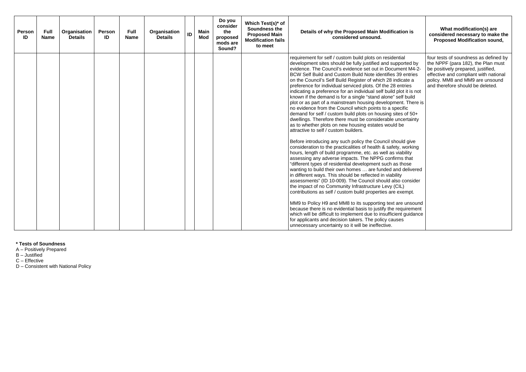| Person<br>ID | <b>Full</b><br><b>Name</b> | Organisation<br><b>Details</b> | <b>Person</b><br>ID | <b>Full</b><br><b>Name</b> | Organisation<br><b>Details</b> | ID | <b>Main</b><br>Mod | Do you<br>consider<br>the<br>proposed<br>mods are<br>Sound? | Which Test(s)* of<br>Soundness the<br><b>Proposed Main</b><br><b>Modification fails</b><br>to meet | Details of why the Proposed Main Modification is<br>considered unsound.                                                                                                                                                                                                                                                                                                                                                                                                                                                                                                                                                                                                                                                                                                                                                                                                                                                                                                                                                                                                                                                                                                                                                                                                                                                                                                                                                                                                                                                                                                                                                                                                                                                                                                                                                                         | What modification(s) are<br>considered necessary to make the<br><b>Proposed Modification sound,</b>                                                                                                                               |
|--------------|----------------------------|--------------------------------|---------------------|----------------------------|--------------------------------|----|--------------------|-------------------------------------------------------------|----------------------------------------------------------------------------------------------------|-------------------------------------------------------------------------------------------------------------------------------------------------------------------------------------------------------------------------------------------------------------------------------------------------------------------------------------------------------------------------------------------------------------------------------------------------------------------------------------------------------------------------------------------------------------------------------------------------------------------------------------------------------------------------------------------------------------------------------------------------------------------------------------------------------------------------------------------------------------------------------------------------------------------------------------------------------------------------------------------------------------------------------------------------------------------------------------------------------------------------------------------------------------------------------------------------------------------------------------------------------------------------------------------------------------------------------------------------------------------------------------------------------------------------------------------------------------------------------------------------------------------------------------------------------------------------------------------------------------------------------------------------------------------------------------------------------------------------------------------------------------------------------------------------------------------------------------------------|-----------------------------------------------------------------------------------------------------------------------------------------------------------------------------------------------------------------------------------|
|              |                            |                                |                     |                            |                                |    |                    |                                                             |                                                                                                    | requirement for self / custom build plots on residential<br>development sites should be fully justified and supported by<br>evidence. The Council's evidence set out in Document M4-2-<br>BCW Self Build and Custom Build Note identifies 39 entries<br>on the Council's Self Build Register of which 28 indicate a<br>preference for individual serviced plots. Of the 28 entries<br>indicating a preference for an individual self build plot it is not<br>known if the demand is for a single "stand alone" self build<br>plot or as part of a mainstream housing development. There is<br>no evidence from the Council which points to a specific<br>demand for self / custom build plots on housing sites of 50+<br>dwellings. Therefore there must be considerable uncertainty<br>as to whether plots on new housing estates would be<br>attractive to self / custom builders.<br>Before introducing any such policy the Council should give<br>consideration to the practicalities of health & safety, working<br>hours, length of build programme, etc. as well as viability<br>assessing any adverse impacts. The NPPG confirms that<br>"different types of residential development such as those<br>wanting to build their own homes  are funded and delivered<br>in different ways. This should be reflected in viability<br>assessments" (ID 10-009). The Council should also consider<br>the impact of no Community Infrastructure Levy (CIL)<br>contributions as self / custom build properties are exempt.<br>MM9 to Policy H9 and MM8 to its supporting text are unsound<br>because there is no evidential basis to justify the requirement<br>which will be difficult to implement due to insufficient guidance<br>for applicants and decision takers. The policy causes<br>unnecessary uncertainty so it will be ineffective. | four tests of soundness as defined by<br>the NPPF (para 182), the Plan must<br>be positively prepared, justified,<br>effective and compliant with national<br>policy. MM8 and MM9 are unsound<br>and therefore should be deleted. |

# **\* Tests of Soundness**

A – Positively Prepared

B – Justified

C – Effective

D – Consistent with National Policy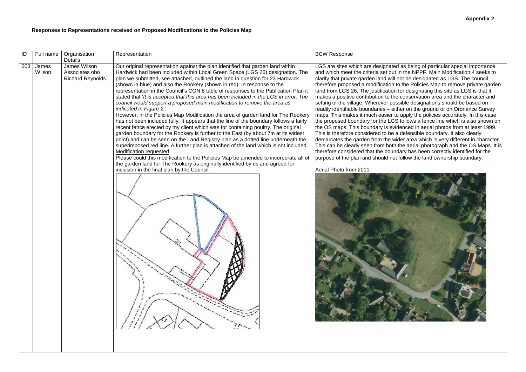# **Responses to Representations received on Proposed Modifications to the Policies Map**

LGS are sites which are designated as being of particular special importance and which meet the criteria set out in the NPPF. Main Modification 4 seeks to not be designated as LGS. The council to the Policies Map to remove private garden Land the state in the process  $\frac{1}{2}$  and  $\frac{1}{2}$  for designating this site as LGS is that it e conservation area and the character and ssible designations should be based on readily identifiable boundaries – either on the ground or on Ordnance Survey maps. This makes it much easier to apply the policies accurately. In this case the proposed boundary for the LGS follows a fence line which is also shown on denced in aerial photos from at least 1999. This is therefore considered to be a defensible boundary. It also clearly demarcates the garden from the wider area which is very different in character. This can be clearly seen from both the aerial photograph and the OS Maps. It is the boundary has been correctly identified for the follow the land ownership boundary.



| ID  | Full name       | Organisation<br>Details                                   | Representation                                                                                                                                                                                                                                                                                                                                                                                                                                                                                                                                                                                                                                                                                                                                                                                                                                                                                                                                                                                                                                                                                                                                                                                                                                                                                                                                                                                                   | <b>BCW Response</b>                                                                                                                                                                                                                                                                                                                                                                                                                                                                                                                                                                                                                                                         |
|-----|-----------------|-----------------------------------------------------------|------------------------------------------------------------------------------------------------------------------------------------------------------------------------------------------------------------------------------------------------------------------------------------------------------------------------------------------------------------------------------------------------------------------------------------------------------------------------------------------------------------------------------------------------------------------------------------------------------------------------------------------------------------------------------------------------------------------------------------------------------------------------------------------------------------------------------------------------------------------------------------------------------------------------------------------------------------------------------------------------------------------------------------------------------------------------------------------------------------------------------------------------------------------------------------------------------------------------------------------------------------------------------------------------------------------------------------------------------------------------------------------------------------------|-----------------------------------------------------------------------------------------------------------------------------------------------------------------------------------------------------------------------------------------------------------------------------------------------------------------------------------------------------------------------------------------------------------------------------------------------------------------------------------------------------------------------------------------------------------------------------------------------------------------------------------------------------------------------------|
| 003 | James<br>Wilson | James Wilson<br>Associates obo<br><b>Richard Reynolds</b> | Our original representation against the plan identified that garden land within<br>Hardwick had been included within Local Green Space (LGS 26) designation. The<br>plan we submitted, see attached, outlined the land in question for 23 Hardwick<br>(shown in blue) and also the Rookery (shown in red). In response to the<br>representation in the Council's CON 8 table of responses to the Publication Plan it<br>stated that 'It is accepted that this area has been included in the LGS in error. The<br>council would support a proposed main modification to remove the area as<br>indicated in Figure 2.'<br>However, in the Policies Map Modification the area of garden land for The Rookery<br>has not been included fully. It appears that the line of the boundary follows a fairly<br>recent fence erected by my client which was for containing poultry. The original<br>garden boundary for the Rookery is further to the East (by about 7m at its widest<br>point) and can be seen on the Land Registry plan as a dotted line underneath the<br>superimposed red line. A further plan is attached of the land which is not included.<br><b>Modification requested</b><br>Please could this modification to the Policies Map be amended to incorporate all of<br>the garden land for The Rookery as originally identified by us and agreed for<br>inclusion in the final plan by the Council. | LGS are sites which are designated<br>and which meet the criteria set out<br>clarify that private garden land will r<br>therefore proposed a modification to<br>land from LGS 26. The justification<br>makes a positive contribution to the<br>setting of the village. Wherever pos<br>readily identifiable boundaries - eith<br>maps. This makes it much easier to<br>the proposed boundary for the LGS<br>the OS maps. This boundary is evic<br>This is therefore considered to be a<br>demarcates the garden from the wide<br>This can be clearly seen from both<br>therefore considered that the bound<br>purpose of the plan and should not<br>Aerial Photo from 2011: |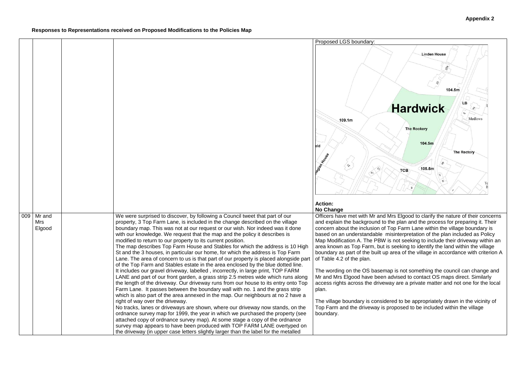

is Elgood to clarify the nature of their concerns and explain the background the background the process for preparing it. Their p Farm Lane within the village boundary is interpretation of the plan included as Policy not seeking to include their driveway within an seeking to identify the land within the village  $r$ ea of the village in accordance with criterion A

|     |                         |                                                                                                                                                                                                                                                                                                                                                                                                                                                                                                                                                                                                                                                                                                                                                                                                                                                                                                                                                                                                                                                                                                                                                                                                                                                                                                                                                                                                                                                                                                                                                                                                                                          | Proposed LGS boundary:                                                                                                                                                                                                                                                                                                                                                                                                                                                                               |
|-----|-------------------------|------------------------------------------------------------------------------------------------------------------------------------------------------------------------------------------------------------------------------------------------------------------------------------------------------------------------------------------------------------------------------------------------------------------------------------------------------------------------------------------------------------------------------------------------------------------------------------------------------------------------------------------------------------------------------------------------------------------------------------------------------------------------------------------------------------------------------------------------------------------------------------------------------------------------------------------------------------------------------------------------------------------------------------------------------------------------------------------------------------------------------------------------------------------------------------------------------------------------------------------------------------------------------------------------------------------------------------------------------------------------------------------------------------------------------------------------------------------------------------------------------------------------------------------------------------------------------------------------------------------------------------------|------------------------------------------------------------------------------------------------------------------------------------------------------------------------------------------------------------------------------------------------------------------------------------------------------------------------------------------------------------------------------------------------------------------------------------------------------------------------------------------------------|
|     |                         |                                                                                                                                                                                                                                                                                                                                                                                                                                                                                                                                                                                                                                                                                                                                                                                                                                                                                                                                                                                                                                                                                                                                                                                                                                                                                                                                                                                                                                                                                                                                                                                                                                          | 109.1m<br>eld<br>egian Hade                                                                                                                                                                                                                                                                                                                                                                                                                                                                          |
|     |                         |                                                                                                                                                                                                                                                                                                                                                                                                                                                                                                                                                                                                                                                                                                                                                                                                                                                                                                                                                                                                                                                                                                                                                                                                                                                                                                                                                                                                                                                                                                                                                                                                                                          | <b>Action:</b>                                                                                                                                                                                                                                                                                                                                                                                                                                                                                       |
|     |                         |                                                                                                                                                                                                                                                                                                                                                                                                                                                                                                                                                                                                                                                                                                                                                                                                                                                                                                                                                                                                                                                                                                                                                                                                                                                                                                                                                                                                                                                                                                                                                                                                                                          | <b>No Change</b>                                                                                                                                                                                                                                                                                                                                                                                                                                                                                     |
| 009 | Mr and<br>Mrs<br>Elgood | We were surprised to discover, by following a Council tweet that part of our<br>property, 3 Top Farm Lane, is included in the change described on the village<br>boundary map. This was not at our request or our wish. Nor indeed was it done<br>with our knowledge. We request that the map and the policy it describes is<br>modified to return to our property to its current position.<br>The map describes Top Farm House and Stables for which the address is 10 High<br>St and the 3 houses, in particular our home, for which the address is Top Farm<br>Lane. The area of concern to us is that part of our property is placed alongside part<br>of the Top Farm and Stables estate in the area enclosed by the blue dotted line.<br>It includes our gravel driveway, labelled, incorrectly, in large print, TOP FARM<br>LANE and part of our front garden, a grass strip 2.5 metres wide which runs along<br>the length of the driveway. Our driveway runs from our house to its entry onto Top<br>Farm Lane. It passes between the boundary wall with no. 1 and the grass strip<br>which is also part of the area annexed in the map. Our neighbours at no 2 have a<br>right of way over the driveway.<br>No tracks, lanes or driveways are shown, where our driveway now stands, on the<br>ordnance survey map for 1999, the year in which we purchased the property (see<br>attached copy of ordnance survey map). At some stage a copy of the ordnance<br>survey map appears to have been produced with TOP FARM LANE overtyped on<br>the driveway (in upper case letters slightly larger than the label for the metalled | Officers have met with Mr and Mrs<br>and explain the background to the<br>concern about the inclusion of Top<br>based on an understandable misi<br>Map Modification A. The PBW is r<br>area known as Top Farm, but is so<br>boundary as part of the built up ar<br>of Table 4.2 of the plan.<br>The wording on the OS basemap<br>Mr and Mrs Elgood have been adv<br>access rights across the driveway<br>plan.<br>The village boundary is considere<br>Top Farm and the driveway is pro<br>boundary. |

The wording on the OS basemap is not something the council can change and Mr and Mrs Elgood have been advised to contact OS maps direct. Similarly access rights across the driveway are a private matter and not one for the local

> d to be appropriately drawn in the vicinity of posed to be included within the village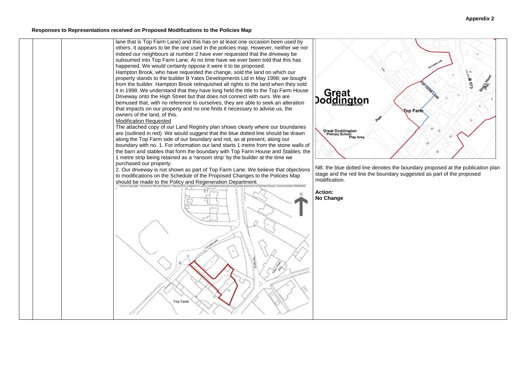#### **Responses to Representations received on Proposed Modifications to the Policies Map**